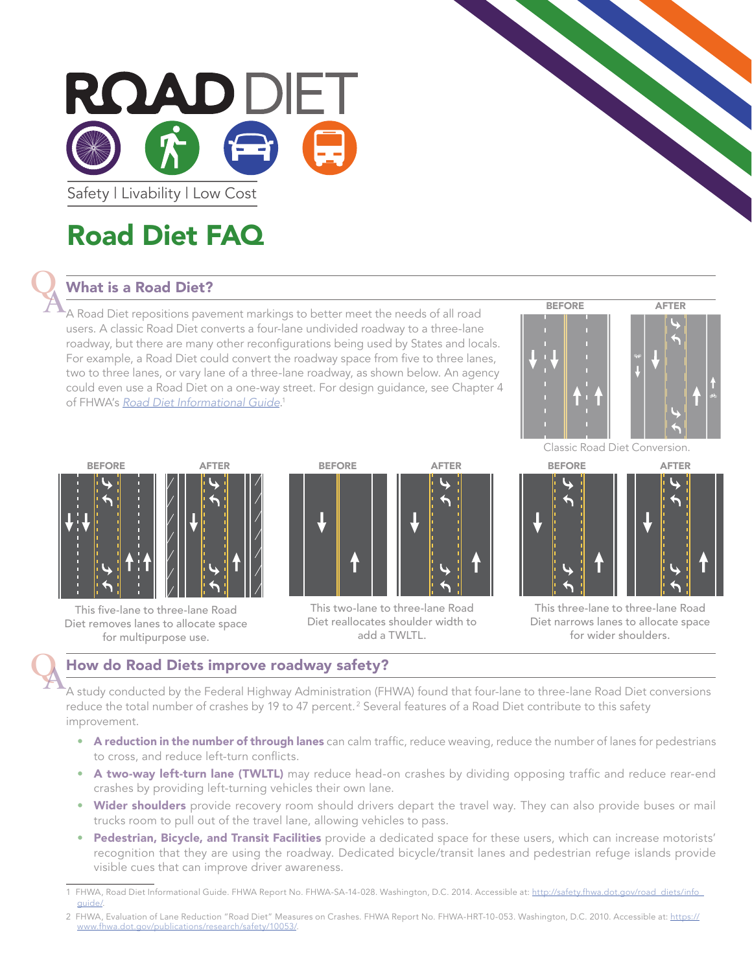

Safety | Livability | Low Cost

## Road Diet FAQ

#### What is a Road Diet?

A Road Diet repositions pavement markings to better meet the needs of all road users. A classic Road Diet converts a four-lane undivided roadway to a three-lane roadway, but there are many other reconfigurations being used by States and locals. For example, a Road Diet could convert the roadway space from five to three lanes, two to three lanes, or vary lane of a three-lane roadway, as shown below. An agency could even use a Road Diet on a one-way street. For design guidance, see Chapter 4 of FHWA's *[Road Diet Informational Guide](http://safety.fhwa.dot.gov/road_diets/info_guide/)*. 1





This five-lane to three-lane Road Diet removes lanes to allocate space for multipurpose use.



This two-lane to three-lane Road Diet reallocates shoulder width to add a TWLTL.

Classic Road Diet Conversion.





#### How do Road Diets improve roadway safety?

A study conducted by the Federal Highway Administration (FHWA) found that four-lane to three-lane Road Diet conversions reduce the total number of crashes by 19 to 47 percent.<sup>2</sup> Several features of a Road Diet contribute to this safety improvement. QA

- A reduction in the number of through lanes can calm traffic, reduce weaving, reduce the number of lanes for pedestrians to cross, and reduce left-turn conflicts.
- A two-way left-turn lane (TWLTL) may reduce head-on crashes by dividing opposing traffic and reduce rear-end crashes by providing left-turning vehicles their own lane.
- Wider shoulders provide recovery room should drivers depart the travel way. They can also provide buses or mail trucks room to pull out of the travel lane, allowing vehicles to pass.
- Pedestrian, Bicycle, and Transit Facilities provide a dedicated space for these users, which can increase motorists' recognition that they are using the roadway. Dedicated bicycle/transit lanes and pedestrian refuge islands provide visible cues that can improve driver awareness.

<sup>1</sup> FHWA, Road Diet Informational Guide. FHWA Report No. FHWA-SA-14-028. Washington, D.C. 2014. Accessible at: [http://safety.fhwa.dot.gov/road\\_diets/info\\_](http://safety.fhwa.dot.gov/road_diets/info_guide/) quide/

<sup>2</sup> FHWA, Evaluation of Lane Reduction "Road Diet" Measures on Crashes. FHWA Report No. FHWA-HRT-10-053. Washington, D.C. 2010. Accessible at: [https://](https://www.fhwa.dot.gov/publications/research/safety/10053/) [www.fhwa.dot.gov/publications/research/safety/10053/](https://www.fhwa.dot.gov/publications/research/safety/10053/).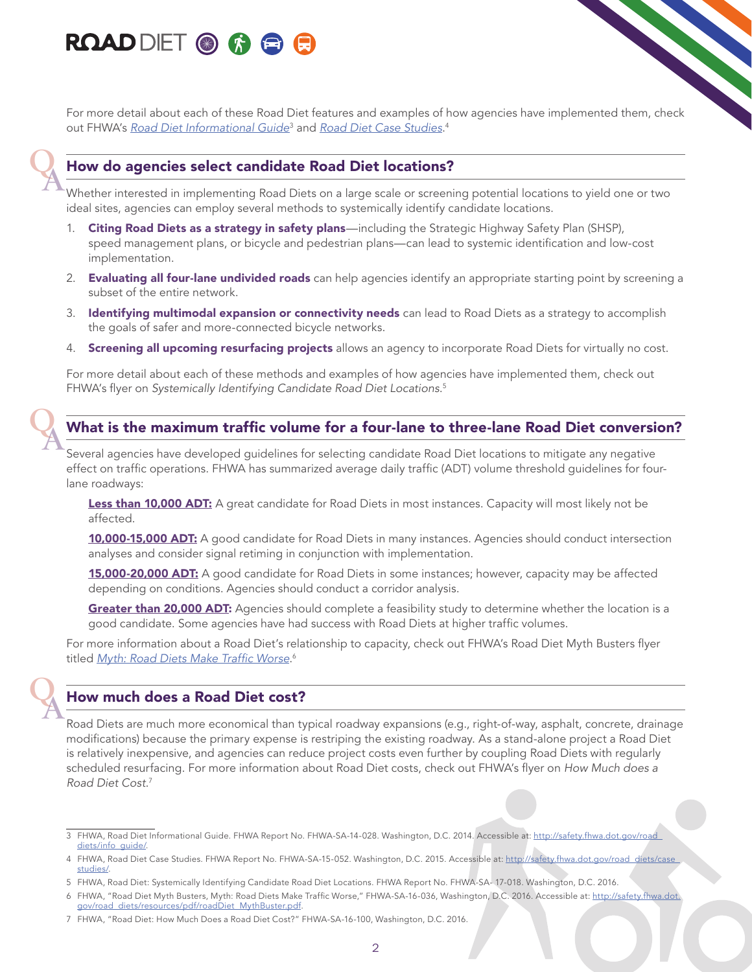### **ROAD DIET OF & &**

For more detail about each of these Road Diet features and examples of how agencies have implemented them, check out FHWA's *[Road Diet Informational Guide](http://safety.fhwa.dot.gov/road_diets/info_guide/)*<sup>3</sup> and *[Road Diet Case Studies](http://safety.fhwa.dot.gov/road_diets/case_studies/)*. 4

#### How do agencies select candidate Road Diet locations?

Whether interested in implementing Road Diets on a large scale or screening potential locations to yield one or two ideal sites, agencies can employ several methods to systemically identify candidate locations.

- 1. Citing Road Diets as a strategy in safety plans—including the Strategic Highway Safety Plan (SHSP), speed management plans, or bicycle and pedestrian plans—can lead to systemic identification and low-cost implementation.
- 2. Evaluating all four-lane undivided roads can help agencies identify an appropriate starting point by screening a subset of the entire network.
- 3. Identifying multimodal expansion or connectivity needs can lead to Road Diets as a strategy to accomplish the goals of safer and more-connected bicycle networks.
- 4. Screening all upcoming resurfacing projects allows an agency to incorporate Road Diets for virtually no cost.

For more detail about each of these methods and examples of how agencies have implemented them, check out FHWA's flyer on *Systemically Identifying Candidate Road Diet Locations*. 5

# **Q**

**Q** 

**Q** 

#### What is the maximum traffic volume for a four-lane to three-lane Road Diet conversion?

Several agencies have developed guidelines for selecting candidate Road Diet locations to mitigate any negative effect on traffic operations. FHWA has summarized average daily traffic (ADT) volume threshold guidelines for fourlane roadways:

Less than 10,000 ADT: A great candidate for Road Diets in most instances. Capacity will most likely not be affected.

10,000-15,000 ADT: A good candidate for Road Diets in many instances. Agencies should conduct intersection analyses and consider signal retiming in conjunction with implementation.

15,000-20,000 ADT: A good candidate for Road Diets in some instances; however, capacity may be affected depending on conditions. Agencies should conduct a corridor analysis.

**Greater than 20,000 ADT:** Agencies should complete a feasibility study to determine whether the location is a good candidate. Some agencies have had success with Road Diets at higher traffic volumes.

For more information about a Road Diet's relationship to capacity, check out FHWA's Road Diet Myth Busters flyer titled <u>[Myth: Road Diets Make Traffic Worse](http://safety.fhwa.dot.gov/road_diets/resources/pdf/roadDiet_MythBuster.pdf)</u>.<sup>6</sup>

#### How much does a Road Diet cost?

Road Diets are much more economical than typical roadway expansions (e.g., right-of-way, asphalt, concrete, drainage modifications) because the primary expense is restriping the existing roadway. As a stand-alone project a Road Diet is relatively inexpensive, and agencies can reduce project costs even further by coupling Road Diets with regularly scheduled resurfacing. For more information about Road Diet costs, check out FHWA's flyer on *How Much does a Road Diet Cost*. 7

<sup>3</sup> FHWA, Road Diet Informational Guide. FHWA Report No. FHWA-SA-14-028. Washington, D.C. 2014. Accessible at: http://safety.fhwa.dot.gov/road diets/info\_quide/

<sup>4</sup> FHWA, Road Diet Case Studies. FHWA Report No. FHWA-SA-15-052. Washington, D.C. 2015. Accessible at: http://safety.fhwa.dot.gov/road\_diets/case [studies/](http://safety.fhwa.dot.gov/road_diets/case_studies/).

<sup>5</sup> FHWA, Road Diet: Systemically Identifying Candidate Road Diet Locations. FHWA Report No. FHWA-SA- 17-018. Washington, D.C. 2016.

<sup>6</sup> FHWA, "Road Diet Myth Busters, Myth: Road Diets Make Traffic Worse," FHWA-SA-16-036, Washington, D.C. 2016. Accessible at: [http://safety.fhwa.dot.](http://safety.fhwa.dot.gov/road_diets/resources/pdf/roadDiet_MythBuster.pdf) [gov/road\\_diets/resources/pdf/roadDiet\\_MythBuster.pdf](http://safety.fhwa.dot.gov/road_diets/resources/pdf/roadDiet_MythBuster.pdf).

<sup>7</sup> FHWA, "Road Diet: How Much Does a Road Diet Cost?" FHWA-SA-16-100, Washington, D.C. 2016.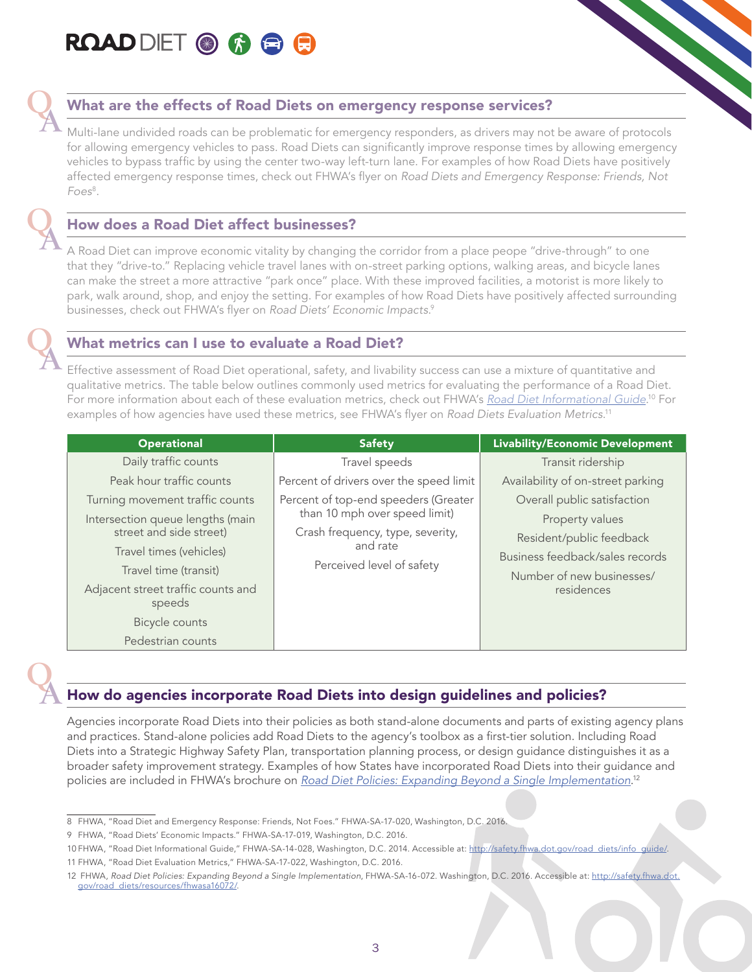



#### What are the effects of Road Diets on emergency response services?

Multi-lane undivided roads can be problematic for emergency responders, as drivers may not be aware of protocols for allowing emergency vehicles to pass. Road Diets can significantly improve response times by allowing emergency vehicles to bypass traffic by using the center two-way left-turn lane. For examples of how Road Diets have positively affected emergency response times, check out FHWA's flyer on *Road Diets and Emergency Response: Friends, Not Foes*<sup>8</sup> .

#### How does a Road Diet affect businesses?

A Road Diet can improve economic vitality by changing the corridor from a place peope "drive-through" to one that they "drive-to." Replacing vehicle travel lanes with on-street parking options, walking areas, and bicycle lanes can make the street a more attractive "park once" place. With these improved facilities, a motorist is more likely to park, walk around, shop, and enjoy the setting. For examples of how Road Diets have positively affected surrounding businesses, check out FHWA's flyer on *Road Diets' Economic Impacts*. 9

#### What metrics can I use to evaluate a Road Diet?

Effective assessment of Road Diet operational, safety, and livability success can use a mixture of quantitative and qualitative metrics. The table below outlines commonly used metrics for evaluating the performance of a Road Diet. For more information about each of these evaluation metrics, check out FHWA's *[Road Diet Informational Guide](http://safety.fhwa.dot.gov/road_diets/info_guide/)*. <sup>10</sup> For examples of how agencies have used these metrics, see FHWA's flyer on *Road Diets Evaluation Metrics*. 11 **Q** 

| <b>Operational</b>                                          | <b>Safety</b>                                                     | <b>Livability/Economic Development</b>                                                   |
|-------------------------------------------------------------|-------------------------------------------------------------------|------------------------------------------------------------------------------------------|
| Daily traffic counts                                        | Travel speeds                                                     | Transit ridership                                                                        |
| Peak hour traffic counts                                    | Percent of drivers over the speed limit                           | Availability of on-street parking                                                        |
| Turning movement traffic counts                             | Percent of top-end speeders (Greater                              | Overall public satisfaction                                                              |
| Intersection queue lengths (main<br>street and side street) | than 10 mph over speed limit)<br>Crash frequency, type, severity, | Property values                                                                          |
| Travel times (vehicles)<br>Travel time (transit)            | and rate<br>Perceived level of safety                             | Resident/public feedback<br>Business feedback/sales records<br>Number of new businesses/ |
| Adjacent street traffic counts and<br>speeds                |                                                                   | residences                                                                               |
| Bicycle counts                                              |                                                                   |                                                                                          |
| Pedestrian counts                                           |                                                                   |                                                                                          |

**Q** 

**Q** 

#### How do agencies incorporate Road Diets into design guidelines and policies?

Agencies incorporate Road Diets into their policies as both stand-alone documents and parts of existing agency plans and practices. Stand-alone policies add Road Diets to the agency's toolbox as a first-tier solution. Including Road Diets into a Strategic Highway Safety Plan, transportation planning process, or design guidance distinguishes it as a broader safety improvement strategy. Examples of how States have incorporated Road Diets into their guidance and policies are included in FHWA's brochure on *[Road Diet Policies: Expanding Beyond a Single Implementation](http://safety.fhwa.dot.gov/road_diets/resources/fhwasa16072/)*. 12

<sup>8</sup> FHWA, "Road Diet and Emergency Response: Friends, Not Foes." FHWA-SA-17-020, Washington, D.C. 2016.

<sup>9</sup> FHWA, "Road Diets' Economic Impacts." FHWA-SA-17-019, Washington, D.C. 2016.

<sup>10</sup> FHWA, "Road Diet Informational Guide," FHWA-SA-14-028, Washington, D.C. 2014. Accessible at: [http://safety.fhwa.dot.gov/road\\_diets/info\\_guide/](http://safety.fhwa.dot.gov/road_diets/info_guide/). 11 FHWA, "Road Diet Evaluation Metrics," FHWA-SA-17-022, Washington, D.C. 2016.

<sup>12</sup> FHWA, *Road Diet Policies: Expanding Beyond a Single Implementation*, FHWA-SA-16-072. Washington, D.C. 2016. Accessible at: [http://safety.fhwa.dot.](http://safety.fhwa.dot.gov/road_diets/resources/fhwasa16072/) [gov/road\\_diets/resources/fhwasa16072/](http://safety.fhwa.dot.gov/road_diets/resources/fhwasa16072/).